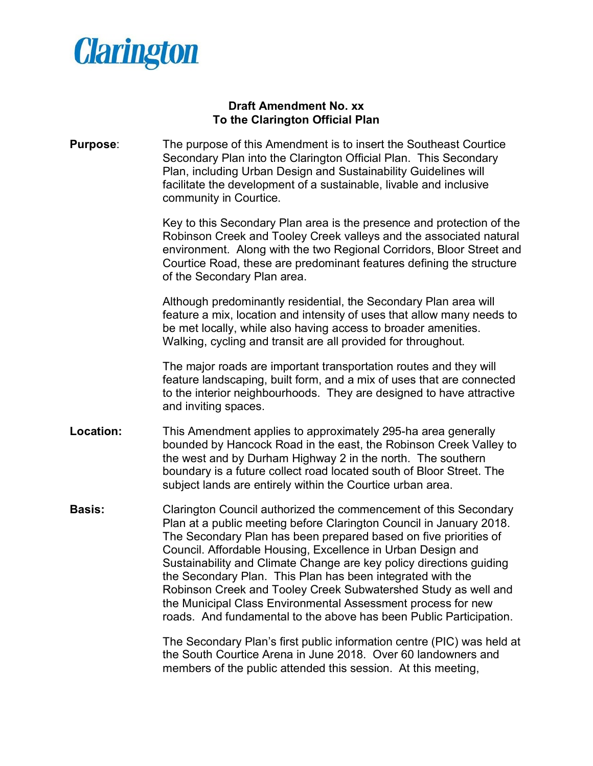

## **Draft Amendment No. xx To the Clarington Official Plan**

**Purpose**: The purpose of this Amendment is to insert the Southeast Courtice Secondary Plan into the Clarington Official Plan. This Secondary Plan, including Urban Design and Sustainability Guidelines will facilitate the development of a sustainable, livable and inclusive community in Courtice.

> Key to this Secondary Plan area is the presence and protection of the Robinson Creek and Tooley Creek valleys and the associated natural environment. Along with the two Regional Corridors, Bloor Street and Courtice Road, these are predominant features defining the structure of the Secondary Plan area.

Although predominantly residential, the Secondary Plan area will feature a mix, location and intensity of uses that allow many needs to be met locally, while also having access to broader amenities. Walking, cycling and transit are all provided for throughout.

The major roads are important transportation routes and they will feature landscaping, built form, and a mix of uses that are connected to the interior neighbourhoods. They are designed to have attractive and inviting spaces.

- **Location:** This Amendment applies to approximately 295-ha area generally bounded by Hancock Road in the east, the Robinson Creek Valley to the west and by Durham Highway 2 in the north. The southern boundary is a future collect road located south of Bloor Street. The subject lands are entirely within the Courtice urban area.
- **Basis:** Clarington Council authorized the commencement of this Secondary Plan at a public meeting before Clarington Council in January 2018. The Secondary Plan has been prepared based on five priorities of Council. Affordable Housing, Excellence in Urban Design and Sustainability and Climate Change are key policy directions guiding the Secondary Plan. This Plan has been integrated with the Robinson Creek and Tooley Creek Subwatershed Study as well and the Municipal Class Environmental Assessment process for new roads. And fundamental to the above has been Public Participation.

The Secondary Plan's first public information centre (PIC) was held at the South Courtice Arena in June 2018. Over 60 landowners and members of the public attended this session. At this meeting,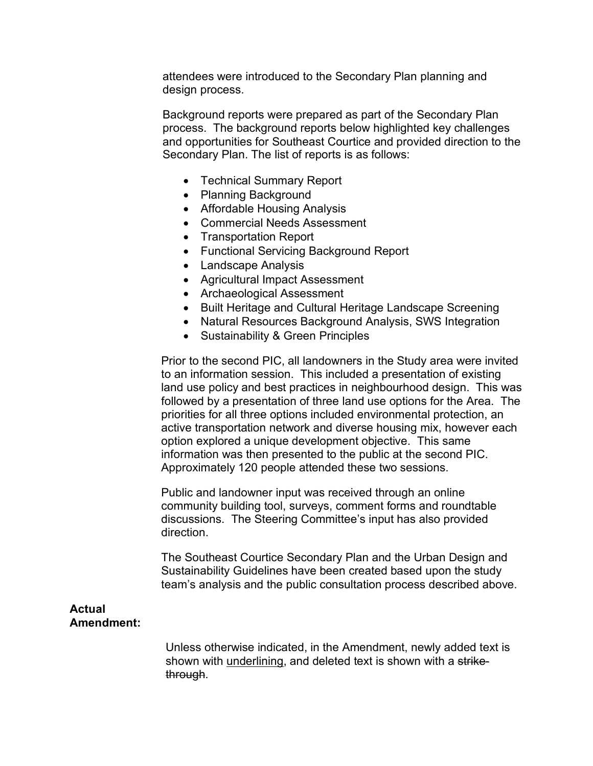attendees were introduced to the Secondary Plan planning and design process.

Background reports were prepared as part of the Secondary Plan process. The background reports below highlighted key challenges and opportunities for Southeast Courtice and provided direction to the Secondary Plan. The list of reports is as follows:

- Technical Summary Report
- Planning Background
- Affordable Housing Analysis
- Commercial Needs Assessment
- Transportation Report
- Functional Servicing Background Report
- Landscape Analysis
- Agricultural Impact Assessment
- Archaeological Assessment
- Built Heritage and Cultural Heritage Landscape Screening
- Natural Resources Background Analysis, SWS Integration
- Sustainability & Green Principles

Prior to the second PIC, all landowners in the Study area were invited to an information session. This included a presentation of existing land use policy and best practices in neighbourhood design. This was followed by a presentation of three land use options for the Area. The priorities for all three options included environmental protection, an active transportation network and diverse housing mix, however each option explored a unique development objective. This same information was then presented to the public at the second PIC. Approximately 120 people attended these two sessions.

Public and landowner input was received through an online community building tool, surveys, comment forms and roundtable discussions. The Steering Committee's input has also provided direction.

The Southeast Courtice Secondary Plan and the Urban Design and Sustainability Guidelines have been created based upon the study team's analysis and the public consultation process described above.

## **Actual Amendment:**

Unless otherwise indicated, in the Amendment, newly added text is shown with underlining, and deleted text is shown with a strikethrough.